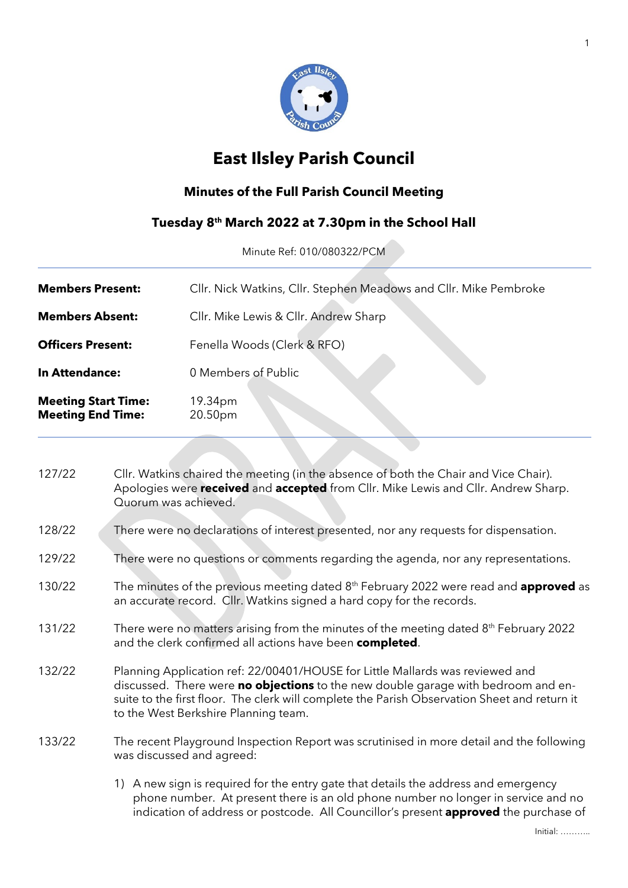

# **East Ilsley Parish Council**

# **Minutes of the Full Parish Council Meeting**

#### **Tuesday 8 th March 2022 at 7.30pm in the School Hall**

Minute Ref: 010/080322/PCM

| <b>Members Present:</b>                                | Cllr. Nick Watkins, Cllr. Stephen Meadows and Cllr. Mike Pembroke |
|--------------------------------------------------------|-------------------------------------------------------------------|
| <b>Members Absent:</b>                                 | Cllr. Mike Lewis & Cllr. Andrew Sharp                             |
| <b>Officers Present:</b>                               | Fenella Woods (Clerk & RFO)                                       |
| In Attendance:                                         | 0 Members of Public                                               |
| <b>Meeting Start Time:</b><br><b>Meeting End Time:</b> | 19.34pm<br>20.50pm                                                |

| 127/22 | Cllr. Watkins chaired the meeting (in the absence of both the Chair and Vice Chair).<br>Apologies were received and accepted from Cllr. Mike Lewis and Cllr. Andrew Sharp.<br>Quorum was achieved.                                                                                                         |  |
|--------|------------------------------------------------------------------------------------------------------------------------------------------------------------------------------------------------------------------------------------------------------------------------------------------------------------|--|
| 128/22 | There were no declarations of interest presented, nor any requests for dispensation.                                                                                                                                                                                                                       |  |
| 129/22 | There were no questions or comments regarding the agenda, nor any representations.                                                                                                                                                                                                                         |  |
| 130/22 | The minutes of the previous meeting dated 8 <sup>th</sup> February 2022 were read and <b>approved</b> as<br>an accurate record. Cllr. Watkins signed a hard copy for the records.                                                                                                                          |  |
| 131/22 | There were no matters arising from the minutes of the meeting dated 8 <sup>th</sup> February 2022<br>and the clerk confirmed all actions have been completed.                                                                                                                                              |  |
| 132/22 | Planning Application ref: 22/00401/HOUSE for Little Mallards was reviewed and<br>discussed. There were no objections to the new double garage with bedroom and en-<br>suite to the first floor. The clerk will complete the Parish Observation Sheet and return it<br>to the West Berkshire Planning team. |  |
| 133/22 | The recent Playground Inspection Report was scrutinised in more detail and the following<br>was discussed and agreed:                                                                                                                                                                                      |  |
|        | 1) A new sign is required for the entry gate that details the address and emergency<br>phone number. At present there is an old phone number no longer in service and no<br>indication of address or postcode. All Councillor's present <b>approved</b> the purchase of                                    |  |

Initial: ………..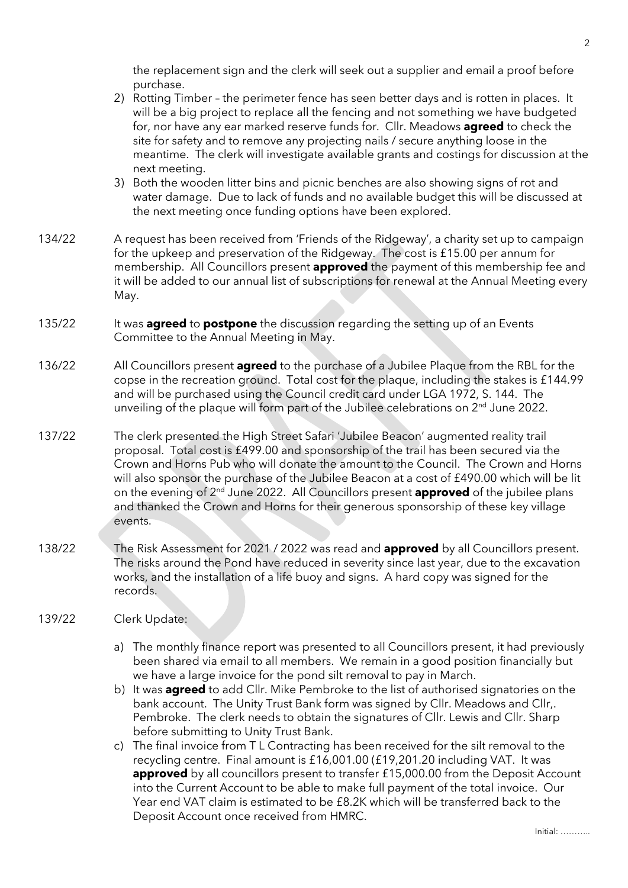the replacement sign and the clerk will seek out a supplier and email a proof before purchase.

- 2) Rotting Timber the perimeter fence has seen better days and is rotten in places. It will be a big project to replace all the fencing and not something we have budgeted for, nor have any ear marked reserve funds for. Cllr. Meadows **agreed** to check the site for safety and to remove any projecting nails / secure anything loose in the meantime. The clerk will investigate available grants and costings for discussion at the next meeting.
- 3) Both the wooden litter bins and picnic benches are also showing signs of rot and water damage. Due to lack of funds and no available budget this will be discussed at the next meeting once funding options have been explored.
- 134/22 A request has been received from 'Friends of the Ridgeway', a charity set up to campaign for the upkeep and preservation of the Ridgeway. The cost is £15.00 per annum for membership. All Councillors present **approved** the payment of this membership fee and it will be added to our annual list of subscriptions for renewal at the Annual Meeting every May.
- 135/22 It was **agreed** to **postpone** the discussion regarding the setting up of an Events Committee to the Annual Meeting in May.
- 136/22 All Councillors present **agreed** to the purchase of a Jubilee Plaque from the RBL for the copse in the recreation ground. Total cost for the plaque, including the stakes is £144.99 and will be purchased using the Council credit card under LGA 1972, S. 144. The unveiling of the plaque will form part of the Jubilee celebrations on 2<sup>nd</sup> June 2022.
- 137/22 The clerk presented the High Street Safari 'Jubilee Beacon' augmented reality trail proposal. Total cost is £499.00 and sponsorship of the trail has been secured via the Crown and Horns Pub who will donate the amount to the Council. The Crown and Horns will also sponsor the purchase of the Jubilee Beacon at a cost of £490.00 which will be lit on the evening of 2<sup>nd</sup> June 2022. All Councillors present **approved** of the jubilee plans and thanked the Crown and Horns for their generous sponsorship of these key village events.
- 138/22 The Risk Assessment for 2021 / 2022 was read and **approved** by all Councillors present. The risks around the Pond have reduced in severity since last year, due to the excavation works, and the installation of a life buoy and signs. A hard copy was signed for the records.

#### 139/22 Clerk Update:

- a) The monthly finance report was presented to all Councillors present, it had previously been shared via email to all members. We remain in a good position financially but we have a large invoice for the pond silt removal to pay in March.
- b) It was **agreed** to add Cllr. Mike Pembroke to the list of authorised signatories on the bank account. The Unity Trust Bank form was signed by Cllr. Meadows and Cllr,. Pembroke. The clerk needs to obtain the signatures of Cllr. Lewis and Cllr. Sharp before submitting to Unity Trust Bank.
- c) The final invoice from T L Contracting has been received for the silt removal to the recycling centre. Final amount is £16,001.00 (£19,201.20 including VAT. It was **approved** by all councillors present to transfer £15,000.00 from the Deposit Account into the Current Account to be able to make full payment of the total invoice. Our Year end VAT claim is estimated to be £8.2K which will be transferred back to the Deposit Account once received from HMRC.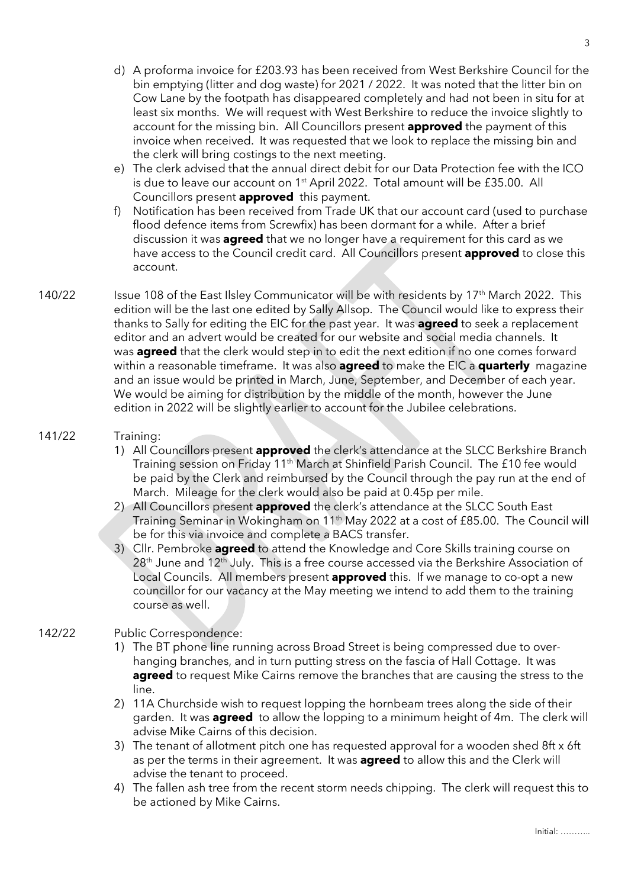- d) A proforma invoice for £203.93 has been received from West Berkshire Council for the bin emptying (litter and dog waste) for 2021 / 2022. It was noted that the litter bin on Cow Lane by the footpath has disappeared completely and had not been in situ for at least six months. We will request with West Berkshire to reduce the invoice slightly to account for the missing bin. All Councillors present **approved** the payment of this invoice when received. It was requested that we look to replace the missing bin and the clerk will bring costings to the next meeting.
- e) The clerk advised that the annual direct debit for our Data Protection fee with the ICO is due to leave our account on 1<sup>st</sup> April 2022. Total amount will be £35.00. All Councillors present **approved** this payment.
- f) Notification has been received from Trade UK that our account card (used to purchase flood defence items from Screwfix) has been dormant for a while. After a brief discussion it was **agreed** that we no longer have a requirement for this card as we have access to the Council credit card. All Councillors present **approved** to close this account.
- 140/22 Issue 108 of the East Ilsley Communicator will be with residents by 17<sup>th</sup> March 2022. This edition will be the last one edited by Sally Allsop. The Council would like to express their thanks to Sally for editing the EIC for the past year. It was **agreed** to seek a replacement editor and an advert would be created for our website and social media channels. It was **agreed** that the clerk would step in to edit the next edition if no one comes forward within a reasonable timeframe. It was also **agreed** to make the EIC a **quarterly** magazine and an issue would be printed in March, June, September, and December of each year. We would be aiming for distribution by the middle of the month, however the June edition in 2022 will be slightly earlier to account for the Jubilee celebrations.

#### 141/22 Training:

- 1) All Councillors present **approved** the clerk's attendance at the SLCC Berkshire Branch Training session on Friday 11<sup>th</sup> March at Shinfield Parish Council. The £10 fee would be paid by the Clerk and reimbursed by the Council through the pay run at the end of March. Mileage for the clerk would also be paid at 0.45p per mile.
- 2) All Councillors present **approved** the clerk's attendance at the SLCC South East Training Seminar in Wokingham on 11th May 2022 at a cost of £85.00. The Council will be for this via invoice and complete a BACS transfer.
- 3) Cllr. Pembroke **agreed** to attend the Knowledge and Core Skills training course on  $28<sup>th</sup>$  June and  $12<sup>th</sup>$  July. This is a free course accessed via the Berkshire Association of Local Councils. All members present **approved** this. If we manage to co-opt a new councillor for our vacancy at the May meeting we intend to add them to the training course as well.

#### 142/22 Public Correspondence:

- 1) The BT phone line running across Broad Street is being compressed due to overhanging branches, and in turn putting stress on the fascia of Hall Cottage. It was **agreed** to request Mike Cairns remove the branches that are causing the stress to the line.
- 2) 11A Churchside wish to request lopping the hornbeam trees along the side of their garden. It was **agreed** to allow the lopping to a minimum height of 4m. The clerk will advise Mike Cairns of this decision.
- 3) The tenant of allotment pitch one has requested approval for a wooden shed 8ft x 6ft as per the terms in their agreement. It was **agreed** to allow this and the Clerk will advise the tenant to proceed.
- 4) The fallen ash tree from the recent storm needs chipping. The clerk will request this to be actioned by Mike Cairns.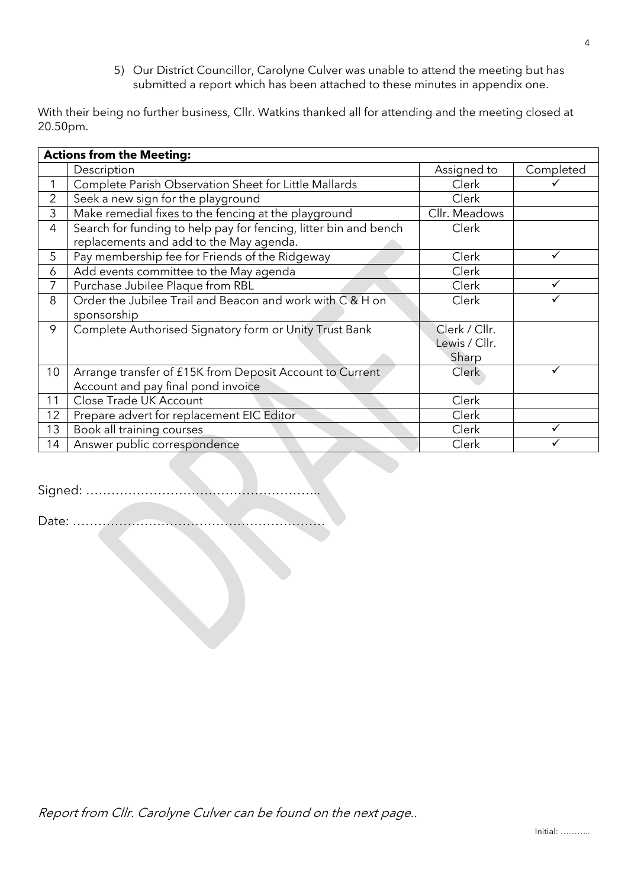5) Our District Councillor, Carolyne Culver was unable to attend the meeting but has submitted a report which has been attached to these minutes in appendix one.

With their being no further business, Cllr. Watkins thanked all for attending and the meeting closed at 20.50pm.

| <b>Actions from the Meeting:</b> |                                                                  |               |           |  |
|----------------------------------|------------------------------------------------------------------|---------------|-----------|--|
|                                  | Description                                                      | Assigned to   | Completed |  |
| 1                                | Complete Parish Observation Sheet for Little Mallards            | Clerk         |           |  |
| 2                                | Seek a new sign for the playground                               | Clerk         |           |  |
| 3                                | Make remedial fixes to the fencing at the playground             | Cllr. Meadows |           |  |
| $\overline{4}$                   | Search for funding to help pay for fencing, litter bin and bench | Clerk         |           |  |
|                                  | replacements and add to the May agenda.                          |               |           |  |
| 5                                | Pay membership fee for Friends of the Ridgeway                   | Clerk         |           |  |
| 6                                | Add events committee to the May agenda                           | Clerk         |           |  |
| 7                                | Purchase Jubilee Plaque from RBL                                 | Clerk         |           |  |
| 8                                | Order the Jubilee Trail and Beacon and work with C & H on        | Clerk         |           |  |
|                                  | sponsorship                                                      |               |           |  |
| 9                                | Complete Authorised Signatory form or Unity Trust Bank           | Clerk / Cllr. |           |  |
|                                  |                                                                  | Lewis / Cllr. |           |  |
|                                  |                                                                  | Sharp         |           |  |
| 10                               | Arrange transfer of £15K from Deposit Account to Current         | <b>Clerk</b>  |           |  |
|                                  | Account and pay final pond invoice                               |               |           |  |
| 11                               | Close Trade UK Account                                           | Clerk         |           |  |
| 12                               | Prepare advert for replacement EIC Editor                        | Clerk         |           |  |
| 13                               | Book all training courses                                        | Clerk         |           |  |
| 14                               | Answer public correspondence                                     | Clerk         |           |  |

Signed: ………………………………………………..

Date: ……………………………………………………

Report from Cllr. Carolyne Culver can be found on the next page..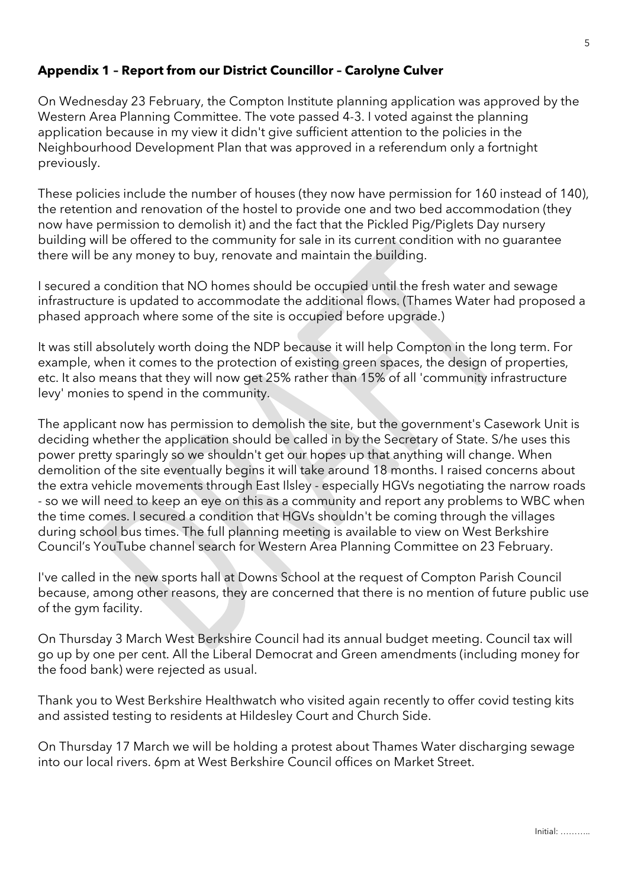## **Appendix 1 – Report from our District Councillor – Carolyne Culver**

On Wednesday 23 February, the Compton Institute planning application was approved by the Western Area Planning Committee. The vote passed 4-3. I voted against the planning application because in my view it didn't give sufficient attention to the policies in the Neighbourhood Development Plan that was approved in a referendum only a fortnight previously.

These policies include the number of houses (they now have permission for 160 instead of 140), the retention and renovation of the hostel to provide one and two bed accommodation (they now have permission to demolish it) and the fact that the Pickled Pig/Piglets Day nursery building will be offered to the community for sale in its current condition with no guarantee there will be any money to buy, renovate and maintain the building.

I secured a condition that NO homes should be occupied until the fresh water and sewage infrastructure is updated to accommodate the additional flows. (Thames Water had proposed a phased approach where some of the site is occupied before upgrade.)

It was still absolutely worth doing the NDP because it will help Compton in the long term. For example, when it comes to the protection of existing green spaces, the design of properties, etc. It also means that they will now get 25% rather than 15% of all 'community infrastructure levy' monies to spend in the community.

The applicant now has permission to demolish the site, but the government's Casework Unit is deciding whether the application should be called in by the Secretary of State. S/he uses this power pretty sparingly so we shouldn't get our hopes up that anything will change. When demolition of the site eventually begins it will take around 18 months. I raised concerns about the extra vehicle movements through East Ilsley - especially HGVs negotiating the narrow roads - so we will need to keep an eye on this as a community and report any problems to WBC when the time comes. I secured a condition that HGVs shouldn't be coming through the villages during school bus times. The full planning meeting is available to view on West Berkshire Council's YouTube channel search for Western Area Planning Committee on 23 February.

I've called in the new sports hall at Downs School at the request of Compton Parish Council because, among other reasons, they are concerned that there is no mention of future public use of the gym facility.

On Thursday 3 March West Berkshire Council had its annual budget meeting. Council tax will go up by one per cent. All the Liberal Democrat and Green amendments (including money for the food bank) were rejected as usual.

Thank you to West Berkshire Healthwatch who visited again recently to offer covid testing kits and assisted testing to residents at Hildesley Court and Church Side.

On Thursday 17 March we will be holding a protest about Thames Water discharging sewage into our local rivers. 6pm at West Berkshire Council offices on Market Street.